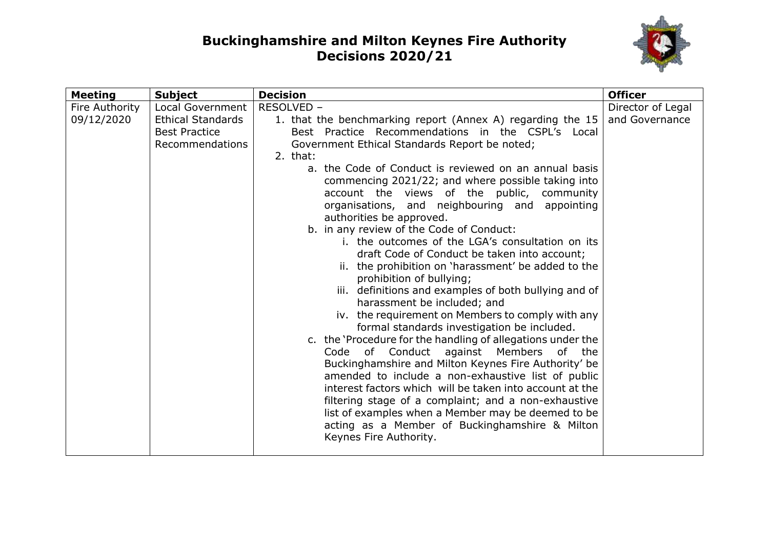## **Buckinghamshire and Milton Keynes Fire Authority Decisions 2020/21**



| <b>Meeting</b> | <b>Subject</b>                                                      | <b>Decision</b>                                                                                                                                                                                                                                                                                                                                                                                                                                                                                                                                                                                                                                                                                                                                                                                                                                                                                                                                                                                                                                                                                                                                                                                                                                                                                                                                | <b>Officer</b>    |
|----------------|---------------------------------------------------------------------|------------------------------------------------------------------------------------------------------------------------------------------------------------------------------------------------------------------------------------------------------------------------------------------------------------------------------------------------------------------------------------------------------------------------------------------------------------------------------------------------------------------------------------------------------------------------------------------------------------------------------------------------------------------------------------------------------------------------------------------------------------------------------------------------------------------------------------------------------------------------------------------------------------------------------------------------------------------------------------------------------------------------------------------------------------------------------------------------------------------------------------------------------------------------------------------------------------------------------------------------------------------------------------------------------------------------------------------------|-------------------|
| Fire Authority | <b>Local Government</b>                                             | RESOLVED -                                                                                                                                                                                                                                                                                                                                                                                                                                                                                                                                                                                                                                                                                                                                                                                                                                                                                                                                                                                                                                                                                                                                                                                                                                                                                                                                     | Director of Legal |
| 09/12/2020     | <b>Ethical Standards</b><br><b>Best Practice</b><br>Recommendations | 1. that the benchmarking report (Annex A) regarding the 15<br>Best Practice Recommendations in the CSPL's Local<br>Government Ethical Standards Report be noted;<br>$2.$ that:<br>a. the Code of Conduct is reviewed on an annual basis<br>commencing 2021/22; and where possible taking into<br>account the views of the public, community<br>organisations, and neighbouring and appointing<br>authorities be approved.<br>b. in any review of the Code of Conduct:<br>i. the outcomes of the LGA's consultation on its<br>draft Code of Conduct be taken into account;<br>ii. the prohibition on 'harassment' be added to the<br>prohibition of bullying;<br>iii. definitions and examples of both bullying and of<br>harassment be included; and<br>iv. the requirement on Members to comply with any<br>formal standards investigation be included.<br>c. the 'Procedure for the handling of allegations under the<br>of Conduct against Members<br>Code<br>of<br>the<br>Buckinghamshire and Milton Keynes Fire Authority' be<br>amended to include a non-exhaustive list of public<br>interest factors which will be taken into account at the<br>filtering stage of a complaint; and a non-exhaustive<br>list of examples when a Member may be deemed to be<br>acting as a Member of Buckinghamshire & Milton<br>Keynes Fire Authority. | and Governance    |
|                |                                                                     |                                                                                                                                                                                                                                                                                                                                                                                                                                                                                                                                                                                                                                                                                                                                                                                                                                                                                                                                                                                                                                                                                                                                                                                                                                                                                                                                                |                   |